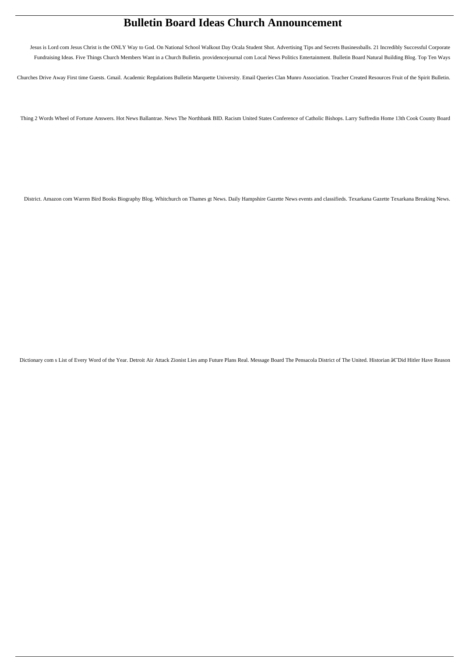# **Bulletin Board Ideas Church Announcement**

Jesus is Lord com Jesus Christ is the ONLY Way to God. On National School Walkout Day Ocala Student Shot. Advertising Tips and Secrets Businessballs. 21 Incredibly Successful Corporate Fundraising Ideas. Five Things Church Members Want in a Church Bulletin. providencejournal com Local News Politics Entertainment. Bulletin Board Natural Building Blog. Top Ten Ways

Churches Drive Away First time Guests. Gmail. Academic Regulations Bulletin Marquette University. Email Queries Clan Munro Association. Teacher Created Resources Fruit of the Spirit Bulletin.

Thing 2 Words Wheel of Fortune Answers. Hot News Ballantrae. News The Northbank BID. Racism United States Conference of Catholic Bishops. Larry Suffredin Home 13th Cook County Board

District. Amazon com Warren Bird Books Biography Blog. Whitchurch on Thames gt News. Daily Hampshire Gazette News events and classifieds. Texarkana Gazette Texarkana Breaking News.

Dictionary com s List of Every Word of the Year. Detroit Air Attack Zionist Lies amp Future Plans Real. Message Board The Pensacola District of The United. Historian ât Did Hitler Have Reason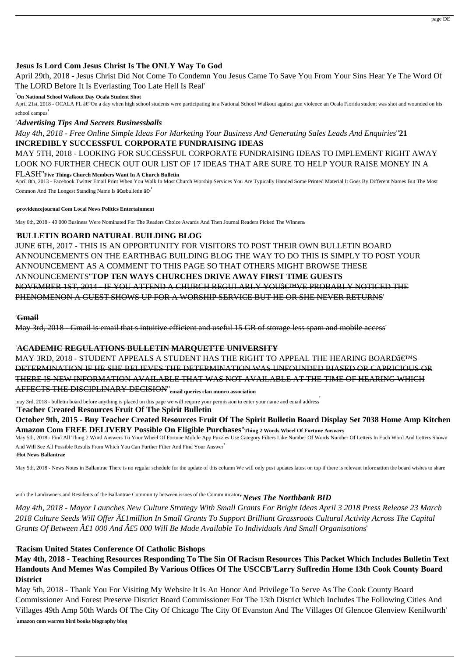# **Jesus Is Lord Com Jesus Christ Is The ONLY Way To God**

April 29th, 2018 - Jesus Christ Did Not Come To Condemn You Jesus Came To Save You From Your Sins Hear Ye The Word Of The LORD Before It Is Everlasting Too Late Hell Is Real'

April 21st, 2018 - OCALA FL  $\hat{a} \in \hat{C}$  on a day when high school students were participating in a National School Walkout against gun violence an Ocala Florida student was shot and wounded on his school campus'

#### '**On National School Walkout Day Ocala Student Shot**

April 8th, 2013 - Facebook Twitter Email Print When You Walk In Most Church Worship Services You Are Typically Handed Some Printed Material It Goes By Different Names But The Most Common And The Longest Standing Name Is  $\hat{a} \in \hat{b}$ ulletin  $\hat{a} \in \hat{b}$ 

# '*Advertising Tips And Secrets Businessballs*

*May 4th, 2018 - Free Online Simple Ideas For Marketing Your Business And Generating Sales Leads And Enquiries*''**21 INCREDIBLY SUCCESSFUL CORPORATE FUNDRAISING IDEAS**

MAY 5TH, 2018 - LOOKING FOR SUCCESSFUL CORPORATE FUNDRAISING IDEAS TO IMPLEMENT RIGHT AWAY LOOK NO FURTHER CHECK OUT OUR LIST OF 17 IDEAS THAT ARE SURE TO HELP YOUR RAISE MONEY IN A

#### FLASH''**Five Things Church Members Want In A Church Bulletin**

MAY 3RD, 2018 - STUDENT APPEALS A STUDENT HAS THE RIGHT TO APPEAL THE HEARING BOARD'S DETERMINATION IF HE SHE BELIEVES THE DETERMINATION WAS UNFOUNDED BIASED OR CAPRICIOUS OR THERE IS NEW INFORMATION AVAILABLE THAT WAS NOT AVAILABLE AT THE TIME OF HEARING WHICH AFFECTS THE DISCIPLINARY DECISION''**email queries clan munro association**

#### '**providencejournal Com Local News Politics Entertainment**

May 6th, 2018 - 40 000 Business Were Nominated For The Readers Choice Awards And Then Journal Readers Picked The Winners,

# '**BULLETIN BOARD NATURAL BUILDING BLOG**

JUNE 6TH, 2017 - THIS IS AN OPPORTUNITY FOR VISITORS TO POST THEIR OWN BULLETIN BOARD ANNOUNCEMENTS ON THE EARTHBAG BUILDING BLOG THE WAY TO DO THIS IS SIMPLY TO POST YOUR ANNOUNCEMENT AS A COMMENT TO THIS PAGE SO THAT OTHERS MIGHT BROWSE THESE ANNOUNCEMENTS''**TOP TEN WAYS CHURCHES DRIVE AWAY FIRST TIME GUESTS** NOVEMBER 1ST, 2014 - IF YOU ATTEND A CHURCH REGULARLY YOU€™VE PROBABLY NOTICED THE PHENOMENON A GUEST SHOWS UP FOR A WORSHIP SERVICE BUT HE OR SHE NEVER RETURNS'

## '**Gmail**

May 3rd, 2018 - Gmail is email that s intuitive efficient and useful 15 GB of storage less spam and mobile access'

# '**ACADEMIC REGULATIONS BULLETIN MARQUETTE UNIVERSITY**

may 3rd, 2018 - bulletin board before anything is placed on this page we will require your permission to enter your name and email address'

# '**Teacher Created Resources Fruit Of The Spirit Bulletin**

**October 9th, 2015 - Buy Teacher Created Resources Fruit Of The Spirit Bulletin Board Display Set 7038 Home Amp Kitchen Amazon Com FREE DELIVERY Possible On Eligible Purchases**''**Thing 2 Words Wheel Of Fortune Answers**

May 5th, 2018 - Find All Thing 2 Word Answers To Your Wheel Of Fortune Mobile App Puzzles Use Category Filters Like Number Of Words Number Of Letters In Each Word And Letters Shown

And Will See All Possible Results From Which You Can Further Filter And Find Your Answer' '**Hot News Ballantrae**

May 5th, 2018 - News Notes in Ballantrae There is no regular schedule for the update of this column We will only post updates latest on top if there is relevant information the board wishes to share

# with the Landowners and Residents of the Ballantrae Community between issues of the Communicator''*News The Northbank BID*

*May 4th, 2018 - Mayor Launches New Culture Strategy With Small Grants For Bright Ideas April 3 2018 Press Release 23 March 2018 Culture Seeds Will Offer £1million In Small Grants To Support Brilliant Grassroots Cultural Activity Across The Capital Grants Of Between £1 000 And £5 000 Will Be Made Available To Individuals And Small Organisations*'

# '**Racism United States Conference Of Catholic Bishops**

**May 4th, 2018 - Teaching Resources Responding To The Sin Of Racism Resources This Packet Which Includes Bulletin Text Handouts And Memes Was Compiled By Various Offices Of The USCCB**''**Larry Suffredin Home 13th Cook County Board District**

May 5th, 2018 - Thank You For Visiting My Website It Is An Honor And Privilege To Serve As The Cook County Board Commissioner And Forest Preserve District Board Commissioner For The 13th District Which Includes The Following Cities And Villages 49th Amp 50th Wards Of The City Of Chicago The City Of Evanston And The Villages Of Glencoe Glenview Kenilworth' '**amazon com warren bird books biography blog**